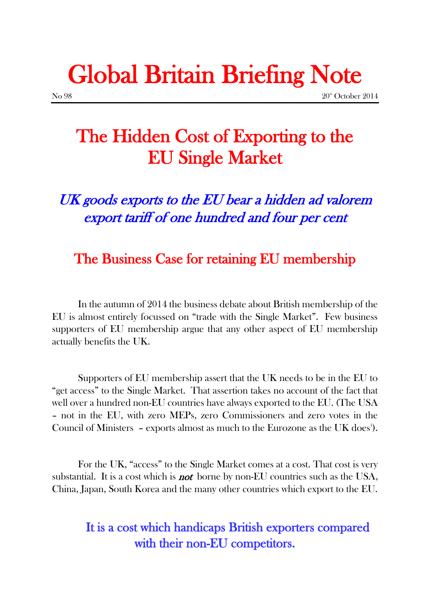# Global Britain Briefing Note

 $N<sub>0</sub>$  98 20<sup>th</sup> October 2014

## The Hidden Cost of Exporting to the EU Single Market

UK goods exports to the EU bear a hidden ad valorem export tariff of one hundred and four per cent

## The Business Case for retaining EU membership

In the autumn of 2014 the business debate about British membership of the EU is almost entirely focussed on "trade with the Single Market". Few business supporters of EU membership argue that any other aspect of EU membership actually benefits the UK.

Supporters of EU membership assert that the UK needs to be in the EU to "get access" to the Single Market. That assertion takes no account of the fact that well over a hundred non-EU countries have always exported to the EU. (The USA – not in the EU, with zero MEPs, zero Commissioners and zero votes in the Council of Ministers - exports almost as much to the Eurozone as the UK does<sup>1</sup>).

For the UK, "access" to the Single Market comes at a cost. That cost is very substantial. It is a cost which is **not** borne by non-EU countries such as the USA, China, Japan, South Korea and the many other countries which export to the EU.

## It is a cost which handicaps British exporters compared with their non-EU competitors.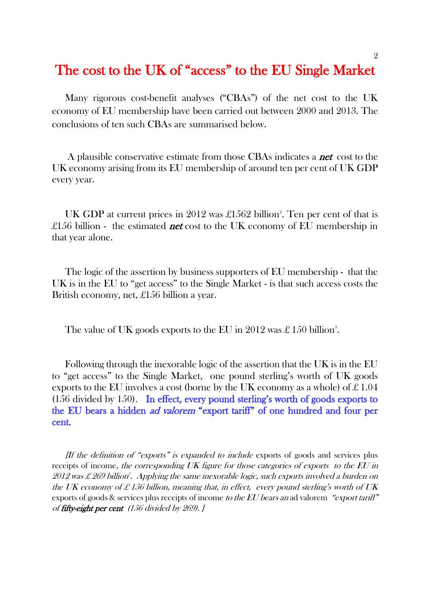## The cost to the UK of "access" to the EU Single Market

Many rigorous cost-benefit analyses ("CBAs") of the net cost to the UK economy of EU membership have been carried out between 2000 and 2013. The conclusions of ten such CBAs are summarised below.

A plausible conservative estimate from those CBAs indicates a **net** cost to the UK economy arising from its EU membership of around ten per cent of UK GDP every year.

UK GDP at current prices in 2012 was  $\pounds$ 1562 billion<sup>2</sup>. Ten per cent of that is £156 billion - the estimated **net** cost to the UK economy of EU membership in that year alone.

The logic of the assertion by business supporters of EU membership - that the UK is in the EU to "get access" to the Single Market - is that such access costs the British economy, net, £156 billion a year.

The value of UK goods exports to the EU in 2012 was £ 150 billion<sup>3</sup>.

Following through the inexorable logic of the assertion that the UK is in the EU to "get access" to the Single Market, one pound sterling's worth of UK goods exports to the EU involves a cost (borne by the UK economy as a whole) of  $\pounds 1.04$ (156 divided by 150). In effect, every pound sterling's worth of goods exports to the EU bears a hidden ad valorem "export tariff" of one hundred and four per cent.

[If the definition of "exports" is expanded to include exports of goods and services plus receipts of income, the corresponding UK figure for those categories of exports to the EU in 2012 was £ 269 billion $\degree$ . Applying the same inexorable logic, such exports involved a burden on the UK economy of £156 billion, meaning that, in effect, every pound sterling's worth of UK exports of goods & services plus receipts of income to the EU bears an ad valorem "export tariff" of fifty-eight per cent (156 divided by 269). ]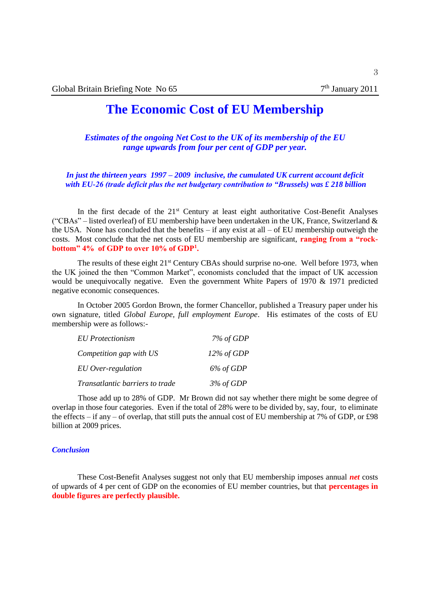## **The Economic Cost of EU Membership**

*Estimates of the ongoing Net Cost to the UK of its membership of the EU range upwards from four per cent of GDP per year.*

*In just the thirteen years 1997 – 2009 inclusive, the cumulated UK current account deficit with EU-26 (trade deficit plus the net budgetary contribution to "Brussels) was £ 218 billion* 

In the first decade of the 21<sup>st</sup> Century at least eight authoritative Cost-Benefit Analyses ("CBAs" – listed overleaf) of EU membership have been undertaken in the UK, France, Switzerland  $\&$ the USA. None has concluded that the benefits – if any exist at all – of EU membership outweigh the costs. Most conclude that the net costs of EU membership are significant, **ranging from a "rockbottom" 4% of GDP to over 10% of GDP<sup>1</sup> .**

The results of these eight 21<sup>st</sup> Century CBAs should surprise no-one. Well before 1973, when the UK joined the then "Common Market", economists concluded that the impact of UK accession would be unequivocally negative. Even the government White Papers of 1970 & 1971 predicted negative economic consequences.

In October 2005 Gordon Brown, the former Chancellor, published a Treasury paper under his own signature, titled *Global Europe, full employment Europe*. His estimates of the costs of EU membership were as follows:-

| <b>EU</b> Protectionism         | 7% of GDP     |
|---------------------------------|---------------|
| Competition gap with US         | $12\%$ of GDP |
| EU Over-regulation              | 6% of GDP     |
| Transatlantic barriers to trade | $3\%$ of GDP  |

Those add up to 28% of GDP. Mr Brown did not say whether there might be some degree of overlap in those four categories. Even if the total of 28% were to be divided by, say, four, to eliminate the effects – if any – of overlap, that still puts the annual cost of EU membership at 7% of GDP, or £98 billion at 2009 prices.

#### *Conclusion*

These Cost-Benefit Analyses suggest not only that EU membership imposes annual *net* costs of upwards of 4 per cent of GDP on the economies of EU member countries, but that **percentages in double figures are perfectly plausible.**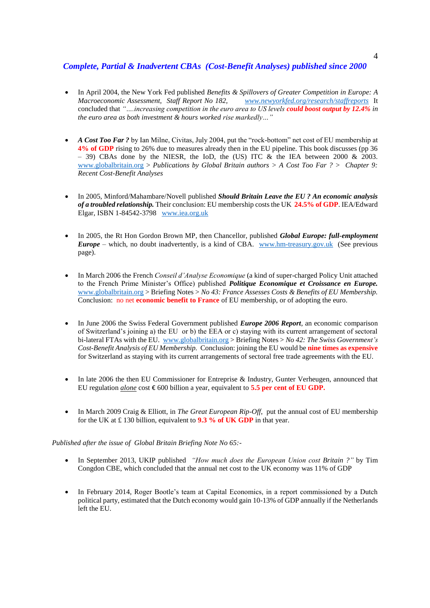#### *Complete, Partial & Inadvertent CBAs (Cost-Benefit Analyses) published since 2000*

- In April 2004, the New York Fed published *Benefits & Spillovers of Greater Competition in Europe: A Macroeconomic Assessment, Staff Report No 182, [www.newyorkfed.org/research/staffreports](http://www.newyorkfed.org/research/staffreports)* It concluded that *"….increasing competition in the euro area to US levels could boost output by 12.4% in the euro area as both investment & hours worked rise markedly…"*
- *A Cost Too Far ?* by Ian Milne, Civitas, July 2004, put the "rock-bottom" net cost of EU membership at **4% of GDP** rising to 26% due to measures already then in the EU pipeline. This book discusses (pp 36 – 39) CBAs done by the NIESR, the IoD, the (US) ITC  $\&$  the IEA between 2000  $\&$  2003. [www.globalbritain.org](http://www.globalbritain.org/) > *Publications by Global Britain authors > A Cost Too Far ? > Chapter 9: Recent Cost-Benefit Analyses*
- In 2005, Minford/Mahambare/Novell published *Should Britain Leave the EU ? An economic analysis of a troubled relationship.* Their conclusion: EU membership costs the UK **24.5% of GDP**. IEA/Edward Elgar, ISBN 1-84542-3798 [www.iea.org.uk](http://www.iea.org.uk/)
- In 2005, the Rt Hon Gordon Brown MP, then Chancellor, published *Global Europe: full-employment Europe* – which, no doubt inadvertently, is a kind of CBA. [www.hm-treasury.gov.uk](http://www.hm-treasury.gov.uk/) (See previous page).
- In March 2006 the French *Conseil d'Analyse Economique* (a kind of super-charged Policy Unit attached to the French Prime Minister's Office) published *Politique Economique et Croissance en Europe.*  [www.globalbritain.org](http://www.globalbritain.org/) > Briefing Notes > *No 43: France Assesses Costs & Benefits of EU Membership.*  Conclusion: no net **economic benefit to France** of EU membership, or of adopting the euro.
- In June 2006 the Swiss Federal Government published *Europe 2006 Report*, an economic comparison of Switzerland's joining a) the EU or b) the EEA or c) staying with its current arrangement of sectoral bi-lateral FTAs with the EU. [www.globalbritain.org](http://www.globalbritain.org/) > Briefing Notes > *No 42: The Swiss Government's Cost-Benefit Analysis of EU Membership.* Conclusion: joining the EU would be **nine times as expensive** for Switzerland as staying with its current arrangements of sectoral free trade agreements with the EU.
- In late 2006 the then EU Commissioner for Entreprise & Industry, Gunter Verheugen, announced that EU regulation *alone* cost  $\epsilon$  600 billion a year, equivalent to **5.5 per cent of EU GDP.**
- In March 2009 Craig & Elliott, in *The Great European Rip-Off*, put the annual cost of EU membership for the UK at £ 130 billion, equivalent to **9.3 % of UK GDP** in that year.

*Published after the issue of Global Britain Briefing Note No 65:-*

- In September 2013, UKIP published *"How much does the European Union cost Britain ?"* by Tim Congdon CBE, which concluded that the annual net cost to the UK economy was 11% of GDP
- In February 2014, Roger Bootle's team at Capital Economics, in a report commissioned by a Dutch political party, estimated that the Dutch economy would gain 10-13% of GDP annually if the Netherlands left the EU.